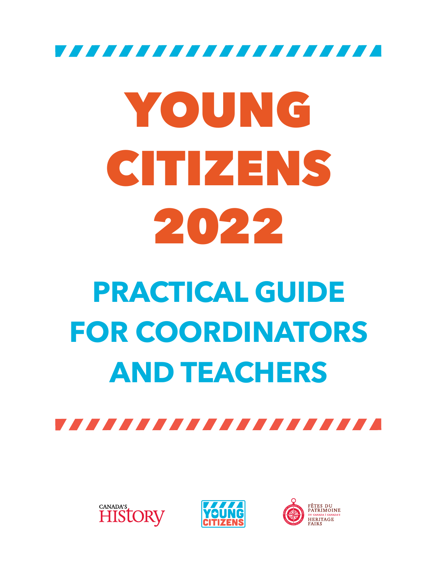,,,,,,,,,,,,,,,,,,,,

# YOUNG CITIZENS 2022

# **PRACTICAL GUIDE FOR COORDINATORS AND TEACHERS**







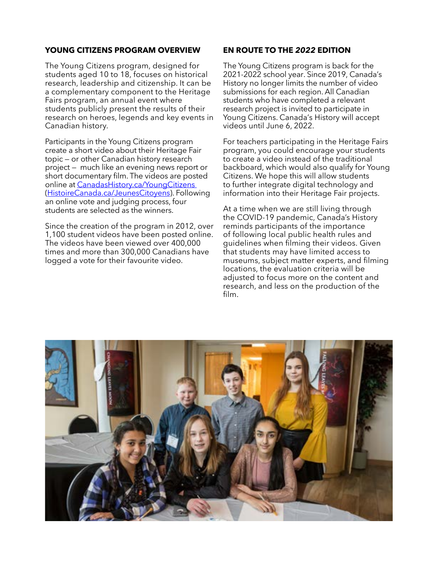## **YOUNG CITIZENS PROGRAM OVERVIEW**

The Young Citizens program, designed for students aged 10 to 18, focuses on historical research, leadership and citizenship. It can be a complementary component to the Heritage Fairs program, an annual event where students publicly present the results of their research on heroes, legends and key events in Canadian history.

Participants in the Young Citizens program create a short video about their Heritage Fair topic — or other Canadian history research project — much like an evening news report or short documentary film. The videos are posted online at [CanadasHistory.ca/YoungCitizens](http://www.CanadasHistory.ca/YoungCitizens )  [\(HistoireCanada.ca/JeunesCitoyens\)](https://www.HistoireCanada.ca/JeunesCitoyens). Following an online vote and judging process, four students are selected as the winners.

Since the creation of the program in 2012, over 1,100 student videos have been posted online. The videos have been viewed over 400,000 times and more than 300,000 Canadians have logged a vote for their favourite video.

### **EN ROUTE TO THE** *2022* **EDITION**

The Young Citizens program is back for the 2021-2022 school year. Since 2019, Canada's History no longer limits the number of video submissions for each region. All Canadian students who have completed a relevant research project is invited to participate in Young Citizens. Canada's History will accept videos until June 6, 2022.

For teachers participating in the Heritage Fairs program, you could encourage your students to create a video instead of the traditional backboard, which would also qualify for Young Citizens. We hope this will allow students to further integrate digital technology and information into their Heritage Fair projects.

At a time when we are still living through the COVID-19 pandemic, Canada's History reminds participants of the importance of following local public health rules and guidelines when filming their videos. Given that students may have limited access to museums, subject matter experts, and filming locations, the evaluation criteria will be adjusted to focus more on the content and research, and less on the production of the film.

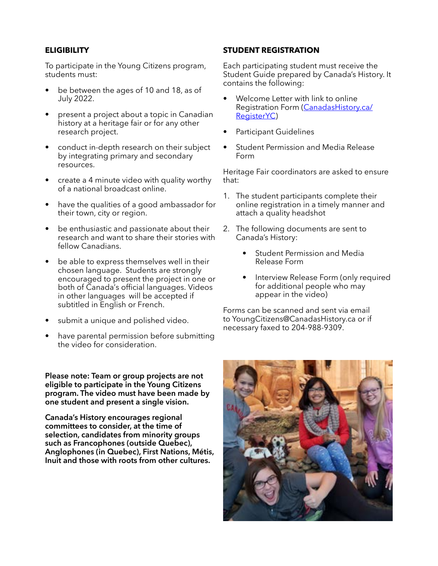## **ELIGIBILITY**

To participate in the Young Citizens program, students must:

- be between the ages of 10 and 18, as of July 2022.
- present a project about a topic in Canadian history at a heritage fair or for any other research project.
- conduct in-depth research on their subject by integrating primary and secondary resources.
- create a 4 minute video with quality worthy of a national broadcast online.
- have the qualities of a good ambassador for their town, city or region.
- be enthusiastic and passionate about their research and want to share their stories with fellow Canadians.
- be able to express themselves well in their chosen language. Students are strongly encouraged to present the project in one or both of Canada's official languages. Videos in other languages will be accepted if subtitled in English or French.
- submit a unique and polished video.
- have parental permission before submitting the video for consideration.

**Please note: Team or group projects are not eligible to participate in the Young Citizens program. The video must have been made by one student and present a single vision.**

**Canada's History encourages regional committees to consider, at the time of selection, candidates from minority groups such as Francophones (outside Quebec), Anglophones (in Quebec), First Nations, Métis, Inuit and those with roots from other cultures.**

#### **STUDENT REGISTRATION**

Each participating student must receive the Student Guide prepared by Canada's History. It contains the following:

- Welcome Letter with link to online Registration Form ([CanadasHistory.ca/](https://www.CanadasHistory.ca/RegisterYC) [RegisterYC](https://www.CanadasHistory.ca/RegisterYC))
- Participant Guidelines
- Student Permission and Media Release Form

Heritage Fair coordinators are asked to ensure that:

- 1. The student participants complete their online registration in a timely manner and attach a quality headshot
- 2. The following documents are sent to Canada's History:
	- Student Permission and Media Release Form
	- Interview Release Form (only required for additional people who may appear in the video)

Forms can be scanned and sent via email to YoungCitizens@CanadasHistory.ca or if necessary faxed to 204-988-9309.

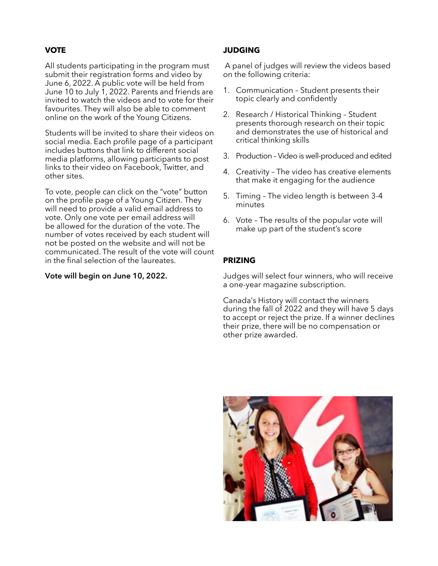#### **VOTE**

All students participating in the program must submit their registration forms and video by June 6, 2022. A public vote will be held from June 10 to July 1, 2022. Parents and friends are invited to watch the videos and to vote for their favourites. They will also be able to comment online on the work of the Young Citizens.

Students will be invited to share their videos on social media. Each profile page of a participant includes buttons that link to different social media platforms, allowing participants to post links to their video on Facebook, Twitter, and other sites.

To vote, people can click on the "vote" button on the profile page of a Young Citizen. They will need to provide a valid email address to vote. Only one vote per email address will be allowed for the duration of the vote. The number of votes received by each student will not be posted on the website and will not be communicated. The result of the vote will count in the final selection of the laureates.

#### **Vote will begin on June 10, 2022.**

#### **JUDGING**

 A panel of judges will review the videos based on the following criteria:

- 1. Communication Student presents their topic clearly and confidently
- 2. Research / Historical Thinking Student presents thorough research on their topic and demonstrates the use of historical and critical thinking skills
- 3. Production Video is well-produced and edited
- 4. Creativity The video has creative elements that make it engaging for the audience
- 5. Timing The video length is between 3-4 minutes
- 6. Vote The results of the popular vote will make up part of the student's score

#### **PRIZING**

Judges will select four winners, who will receive a one-year magazine subscription.

Canada's History will contact the winners during the fall of 2022 and they will have 5 days to accept or reject the prize. If a winner declines their prize, there will be no compensation or other prize awarded.